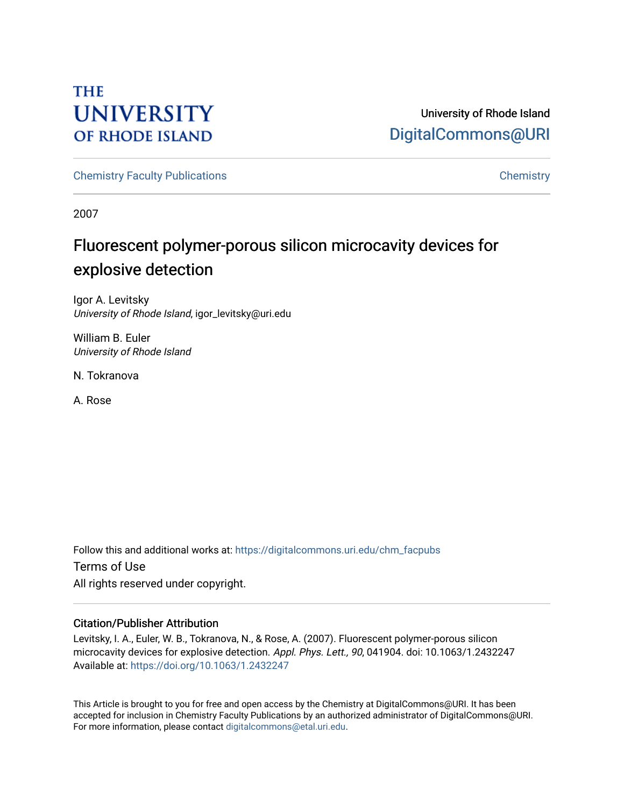# **THE UNIVERSITY OF RHODE ISLAND**

University of Rhode Island [DigitalCommons@URI](https://digitalcommons.uri.edu/) 

[Chemistry Faculty Publications](https://digitalcommons.uri.edu/chm_facpubs) **Chemistry** Chemistry

2007

# Fluorescent polymer-porous silicon microcavity devices for explosive detection

Igor A. Levitsky University of Rhode Island, igor\_levitsky@uri.edu

William B. Euler University of Rhode Island

N. Tokranova

A. Rose

Follow this and additional works at: [https://digitalcommons.uri.edu/chm\\_facpubs](https://digitalcommons.uri.edu/chm_facpubs?utm_source=digitalcommons.uri.edu%2Fchm_facpubs%2F102&utm_medium=PDF&utm_campaign=PDFCoverPages)  Terms of Use All rights reserved under copyright.

## Citation/Publisher Attribution

Levitsky, I. A., Euler, W. B., Tokranova, N., & Rose, A. (2007). Fluorescent polymer-porous silicon microcavity devices for explosive detection. Appl. Phys. Lett., 90, 041904. doi: 10.1063/1.2432247 Available at:<https://doi.org/10.1063/1.2432247>

This Article is brought to you for free and open access by the Chemistry at DigitalCommons@URI. It has been accepted for inclusion in Chemistry Faculty Publications by an authorized administrator of DigitalCommons@URI. For more information, please contact [digitalcommons@etal.uri.edu](mailto:digitalcommons@etal.uri.edu).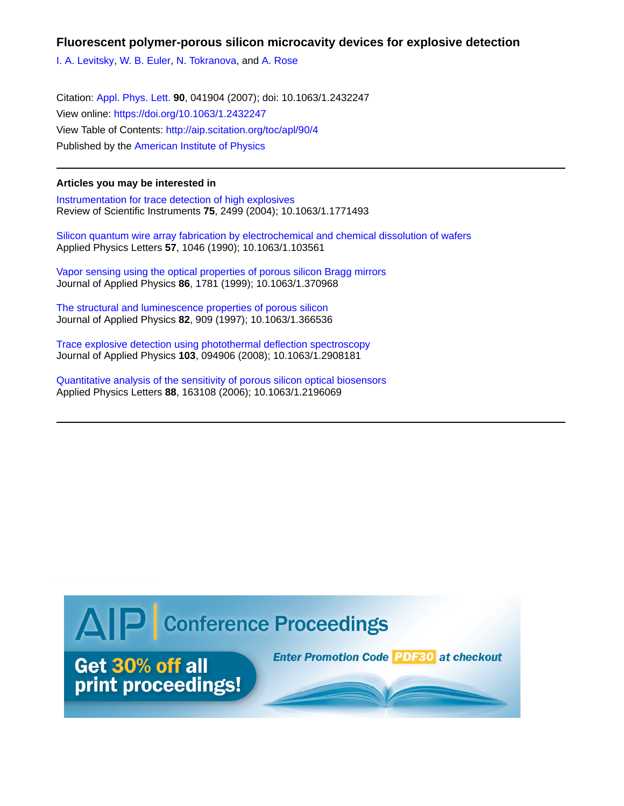## **Fluorescent polymer-porous silicon microcavity devices for explosive detection**

[I. A. Levitsky](http://aip.scitation.org/author/Levitsky%2C+I+A), [W. B. Euler,](http://aip.scitation.org/author/Euler%2C+W+B) [N. Tokranova,](http://aip.scitation.org/author/Tokranova%2C+N) and [A. Rose](http://aip.scitation.org/author/Rose%2C+A)

Citation: [Appl. Phys. Lett.](/loi/apl) **90**, 041904 (2007); doi: 10.1063/1.2432247 View online: <https://doi.org/10.1063/1.2432247> View Table of Contents: <http://aip.scitation.org/toc/apl/90/4> Published by the [American Institute of Physics](http://aip.scitation.org/publisher/)

### **Articles you may be interested in**

[Instrumentation for trace detection of high explosives](http://aip.scitation.org/doi/abs/10.1063/1.1771493) Review of Scientific Instruments **75**, 2499 (2004); 10.1063/1.1771493

[Silicon quantum wire array fabrication by electrochemical and chemical dissolution of wafers](http://aip.scitation.org/doi/abs/10.1063/1.103561) Applied Physics Letters **57**, 1046 (1990); 10.1063/1.103561

[Vapor sensing using the optical properties of porous silicon Bragg mirrors](http://aip.scitation.org/doi/abs/10.1063/1.370968) Journal of Applied Physics **86**, 1781 (1999); 10.1063/1.370968

[The structural and luminescence properties of porous silicon](http://aip.scitation.org/doi/abs/10.1063/1.366536) Journal of Applied Physics **82**, 909 (1997); 10.1063/1.366536

[Trace explosive detection using photothermal deflection spectroscopy](http://aip.scitation.org/doi/abs/10.1063/1.2908181) Journal of Applied Physics **103**, 094906 (2008); 10.1063/1.2908181

[Quantitative analysis of the sensitivity of porous silicon optical biosensors](http://aip.scitation.org/doi/abs/10.1063/1.2196069) Applied Physics Letters **88**, 163108 (2006); 10.1063/1.2196069

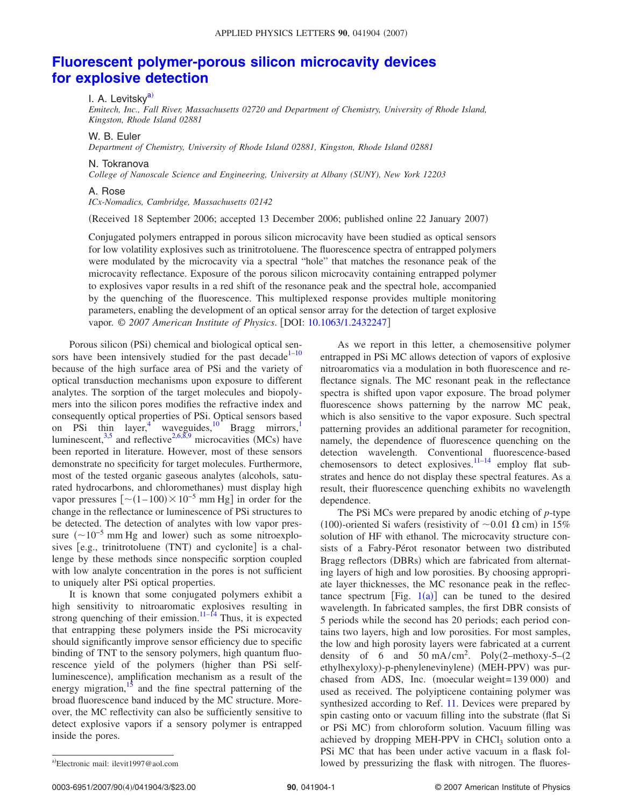# **[Fluorescent polymer-porous silicon microcavity devices](http://dx.doi.org/10.1063/1.2432247) [for explosive detection](http://dx.doi.org/10.1063/1.2432247)**

### I. A. Levitsky<sup>a)</sup>

*Emitech, Inc., Fall River, Massachusetts 02720 and Department of Chemistry, University of Rhode Island, Kingston, Rhode Island 02881*

### W. B. Euler

*Department of Chemistry, University of Rhode Island 02881, Kingston, Rhode Island 02881*

#### N. Tokranova

*College of Nanoscale Science and Engineering, University at Albany (SUNY), New York 12203*

### A. Rose

*ICx-Nomadics, Cambridge, Massachusetts 02142*

Received 18 September 2006; accepted 13 December 2006; published online 22 January 2007-

Conjugated polymers entrapped in porous silicon microcavity have been studied as optical sensors for low volatility explosives such as trinitrotoluene. The fluorescence spectra of entrapped polymers were modulated by the microcavity via a spectral "hole" that matches the resonance peak of the microcavity reflectance. Exposure of the porous silicon microcavity containing entrapped polymer to explosives vapor results in a red shift of the resonance peak and the spectral hole, accompanied by the quenching of the fluorescence. This multiplexed response provides multiple monitoring parameters, enabling the development of an optical sensor array for the detection of target explosive vapor. © *2007 American Institute of Physics*. DOI: [10.1063/1.2432247](http://dx.doi.org/10.1063/1.2432247)

Porous silicon (PSi) chemical and biological optical sen-sors have been intensively studied for the past decade<sup>1–[10](#page-4-1)</sup> because of the high surface area of PSi and the variety of optical transduction mechanisms upon exposure to different analytes. The sorption of the target molecules and biopolymers into the silicon pores modifies the refractive index and consequently optical properties of PSi. Optical sensors based on PSi thin layer,<sup>4</sup> waveguides,<sup>10</sup> Bragg mirrors,<sup>1</sup> luminescent,  $3.5$  and reflective  $2.6,8,9$  $2.6,8,9$  $2.6,8,9$  microcavities (MCs) have been reported in literature. However, most of these sensors demonstrate no specificity for target molecules. Furthermore, most of the tested organic gaseous analytes (alcohols, saturated hydrocarbons, and chloromethanes) must display high vapor pressures  $\left[ \sim (1 - 100) \times 10^{-5} \text{ mm Hg} \right]$  in order for the change in the reflectance or luminescence of PSi structures to be detected. The detection of analytes with low vapor pressure  $(\sim 10^{-5}$  mm Hg and lower) such as some nitroexplosives [e.g., trinitrotoluene (TNT) and cyclonite] is a challenge by these methods since nonspecific sorption coupled with low analyte concentration in the pores is not sufficient to uniquely alter PSi optical properties.

It is known that some conjugated polymers exhibit a high sensitivity to nitroaromatic explosives resulting in strong quenching of their emission.<sup>11[–14](#page-4-10)</sup> Thus, it is expected that entrapping these polymers inside the PSi microcavity should significantly improve sensor efficiency due to specific binding of TNT to the sensory polymers, high quantum fluorescence yield of the polymers (higher than PSi selfluminescence), amplification mechanism as a result of the energy migration,<sup>15</sup> and the fine spectral patterning of the broad fluorescence band induced by the MC structure. Moreover, the MC reflectivity can also be sufficiently sensitive to detect explosive vapors if a sensory polymer is entrapped inside the pores.

As we report in this letter, a chemosensitive polymer entrapped in PSi MC allows detection of vapors of explosive nitroaromatics via a modulation in both fluorescence and reflectance signals. The MC resonant peak in the reflectance spectra is shifted upon vapor exposure. The broad polymer fluorescence shows patterning by the narrow MC peak, which is also sensitive to the vapor exposure. Such spectral patterning provides an additional parameter for recognition, namely, the dependence of fluorescence quenching on the detection wavelength. Conventional fluorescence-based chemosensors to detect explosives.<sup>11-14</sup> employ flat substrates and hence do not display these spectral features. As a result, their fluorescence quenching exhibits no wavelength dependence.

The PSi MCs were prepared by anodic etching of *p*-type (100)-oriented Si wafers (resistivity of  $\sim$  0.01  $\Omega$  cm) in 15% solution of HF with ethanol. The microcavity structure consists of a Fabry-Pérot resonator between two distributed Bragg reflectors (DBRs) which are fabricated from alternating layers of high and low porosities. By choosing appropriate layer thicknesses, the MC resonance peak in the reflectance spectrum [Fig.  $1(a)$  $1(a)$ ] can be tuned to the desired wavelength. In fabricated samples, the first DBR consists of 5 periods while the second has 20 periods; each period contains two layers, high and low porosities. For most samples, the low and high porosity layers were fabricated at a current density of 6 and 50 mA/cm<sup>2</sup>. Poly(2–methoxy-5– $(2)$ ethylhexyloxy)-p-phenylenevinylene) (MEH-PPV) was purchased from ADS, Inc. (moecular weight= 139 000) and used as received. The polyipticene containing polymer was synthesized according to Ref. [11.](#page-4-9) Devices were prepared by spin casting onto or vacuum filling into the substrate (flat Si or PSi MC) from chloroform solution. Vacuum filling was achieved by dropping MEH-PPV in  $CHCl<sub>3</sub>$  solution onto a PSi MC that has been under active vacuum in a flask followed by pressurizing the flask with nitrogen. The fluores-

0003-6951/2007/90(4)/041904/3/\$23.00

<span id="page-2-0"></span>Electronic mail: ilevit1997@aol.com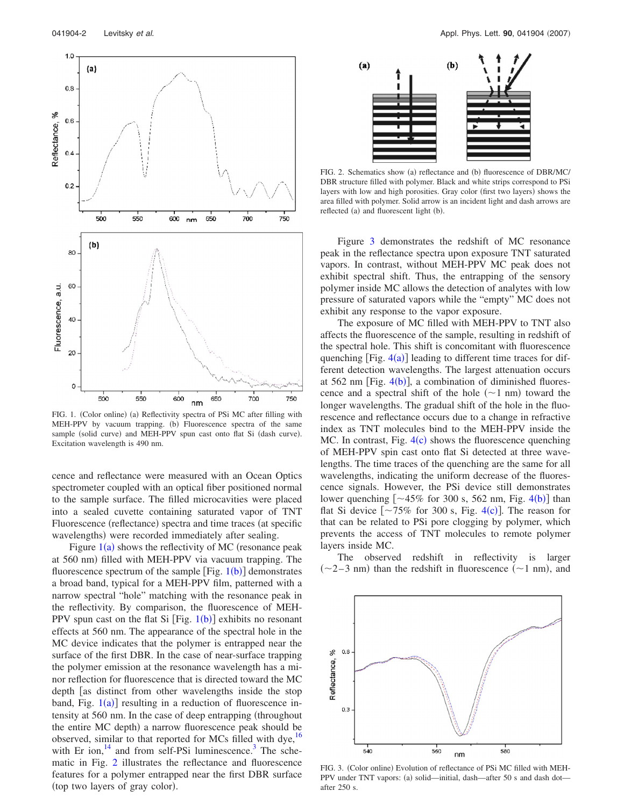<span id="page-3-0"></span>

FIG. 1. (Color online) (a) Reflectivity spectra of PSi MC after filling with MEH-PPV by vacuum trapping. (b) Fluorescence spectra of the same sample (solid curve) and MEH-PPV spun cast onto flat Si (dash curve). Excitation wavelength is 490 nm.

cence and reflectance were measured with an Ocean Optics spectrometer coupled with an optical fiber positioned normal to the sample surface. The filled microcavities were placed into a sealed cuvette containing saturated vapor of TNT Fluorescence (reflectance) spectra and time traces (at specific wavelengths) were recorded immediately after sealing.

Figure  $1(a)$  $1(a)$  shows the reflectivity of MC (resonance peak at 560 nm) filled with MEH-PPV via vacuum trapping. The fluorescence spectrum of the sample  $[Fig. 1(b)]$  $[Fig. 1(b)]$  $[Fig. 1(b)]$  demonstrates a broad band, typical for a MEH-PPV film, patterned with a narrow spectral "hole" matching with the resonance peak in the reflectivity. By comparison, the fluorescence of MEH-PPV spun cast on the flat Si  $[Fig. 1(b)]$  $[Fig. 1(b)]$  $[Fig. 1(b)]$  exhibits no resonant effects at 560 nm. The appearance of the spectral hole in the MC device indicates that the polymer is entrapped near the surface of the first DBR. In the case of near-surface trapping the polymer emission at the resonance wavelength has a minor reflection for fluorescence that is directed toward the MC depth [as distinct from other wavelengths inside the stop band, Fig.  $1(a)$  $1(a)$ ] resulting in a reduction of fluorescence intensity at 560 nm. In the case of deep entrapping (throughout the entire MC depth) a narrow fluorescence peak should be observed, similar to that reported for MCs filled with dye,<sup>16</sup> with Er ion, $^{14}$  and from self-PSi luminescence.<sup>3</sup> The schematic in Fig. [2](#page-3-1) illustrates the reflectance and fluorescence features for a polymer entrapped near the first DBR surface (top two layers of gray color).

<span id="page-3-1"></span>

FIG. 2. Schematics show (a) reflectance and (b) fluorescence of DBR/MC/ DBR structure filled with polymer. Black and white strips correspond to PSi layers with low and high porosities. Gray color (first two layers) shows the area filled with polymer. Solid arrow is an incident light and dash arrows are reflected (a) and fluorescent light (b).

Figure [3](#page-3-2) demonstrates the redshift of MC resonance peak in the reflectance spectra upon exposure TNT saturated vapors. In contrast, without MEH-PPV MC peak does not exhibit spectral shift. Thus, the entrapping of the sensory polymer inside MC allows the detection of analytes with low pressure of saturated vapors while the "empty" MC does not exhibit any response to the vapor exposure.

The exposure of MC filled with MEH-PPV to TNT also affects the fluorescence of the sample, resulting in redshift of the spectral hole. This shift is concomitant with fluorescence quenching  $[Fig. 4(a)]$  $[Fig. 4(a)]$  $[Fig. 4(a)]$  leading to different time traces for different detection wavelengths. The largest attenuation occurs at 562 nm [Fig.  $4(b)$  $4(b)$ ], a combination of diminished fluorescence and a spectral shift of the hole  $(\sim 1 \text{ nm})$  toward the longer wavelengths. The gradual shift of the hole in the fluorescence and reflectance occurs due to a change in refractive index as TNT molecules bind to the MEH-PPV inside the MC. In contrast, Fig.  $4(c)$  $4(c)$  shows the fluorescence quenching of MEH-PPV spin cast onto flat Si detected at three wavelengths. The time traces of the quenching are the same for all wavelengths, indicating the uniform decrease of the fluorescence signals. However, the PSi device still demonstrates lower quenching  $\left[ \sim 45\% \text{ for } 300 \text{ s}, 562 \text{ nm}, \text{Fig. 4(b)} \right]$  $\left[ \sim 45\% \text{ for } 300 \text{ s}, 562 \text{ nm}, \text{Fig. 4(b)} \right]$  $\left[ \sim 45\% \text{ for } 300 \text{ s}, 562 \text{ nm}, \text{Fig. 4(b)} \right]$  than flat Si device  $\left[\sim 75\% \text{ for } 300 \text{ s}, \text{ Fig. 4(c)}\right]$  $\left[\sim 75\% \text{ for } 300 \text{ s}, \text{ Fig. 4(c)}\right]$  $\left[\sim 75\% \text{ for } 300 \text{ s}, \text{ Fig. 4(c)}\right]$ . The reason for that can be related to PSi pore clogging by polymer, which prevents the access of TNT molecules to remote polymer layers inside MC.

The observed redshift in reflectivity is larger  $(\sim 2-3$  nm) than the redshift in fluorescence  $(\sim 1$  nm), and

<span id="page-3-2"></span>

FIG. 3. (Color online) Evolution of reflectance of PSi MC filled with MEH-PPV under TNT vapors: (a) solid—initial, dash—after 50 s and dash dot after 250 s.